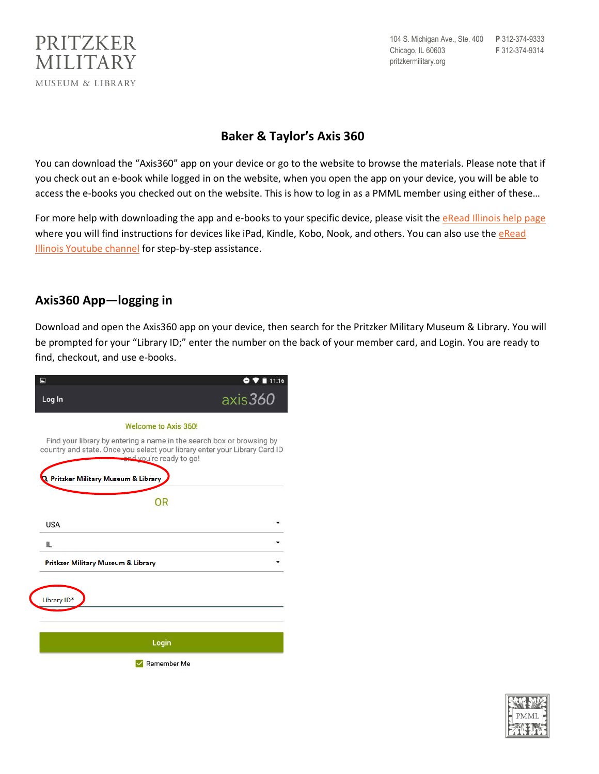

104 S. Michigan Ave., Ste. 400 **P** 312-374-9333 Chicago, IL 60603 **F** 312-374-9314 pritzkermilitary.org

## **Baker & Taylor's Axis 360**

You can download the "Axis360" app on your device or go to the website to browse the materials. Please note that if you check out an e-book while logged in on the website, when you open the app on your device, you will be able to access the e-books you checked out on the website. This is how to log in as a PMML member using either of these…

For more help with downloading the app and e-books to your specific device, please visit the [eRead Illinois help page](https://ereadillinois.com/readers/help/axis-360-help) where you will find instructions for devices like iPad, Kindle, Kobo, Nook, and others. You can also use the eRead [Illinois Youtube channel](https://www.youtube.com/user/eReadIllinois) for step-by-step assistance.

## **Axis360 App—logging in**

Download and open the Axis360 app on your device, then search for the Pritzker Military Museum & Library. You will be prompted for your "Library ID;" enter the number on the back of your member card, and Login. You are ready to find, checkout, and use e-books.

| 国                                             | 11:16                                                                                                                                                                          |
|-----------------------------------------------|--------------------------------------------------------------------------------------------------------------------------------------------------------------------------------|
| Log In                                        | axis <sub>360</sub>                                                                                                                                                            |
| <b>Welcome to Axis 360!</b>                   |                                                                                                                                                                                |
|                                               | Find your library by entering a name in the search box or browsing by<br>country and state. Once you select your library enter your Library Card ID<br>and you're ready to go! |
| R Pritzker Military Museum & Library          |                                                                                                                                                                                |
| OR                                            |                                                                                                                                                                                |
| <b>USA</b>                                    |                                                                                                                                                                                |
| IL                                            |                                                                                                                                                                                |
| <b>Pritkzer Military Museum &amp; Library</b> |                                                                                                                                                                                |
|                                               |                                                                                                                                                                                |
| Library ID*                                   |                                                                                                                                                                                |
|                                               |                                                                                                                                                                                |
| Login                                         |                                                                                                                                                                                |
| Remember Me                                   |                                                                                                                                                                                |

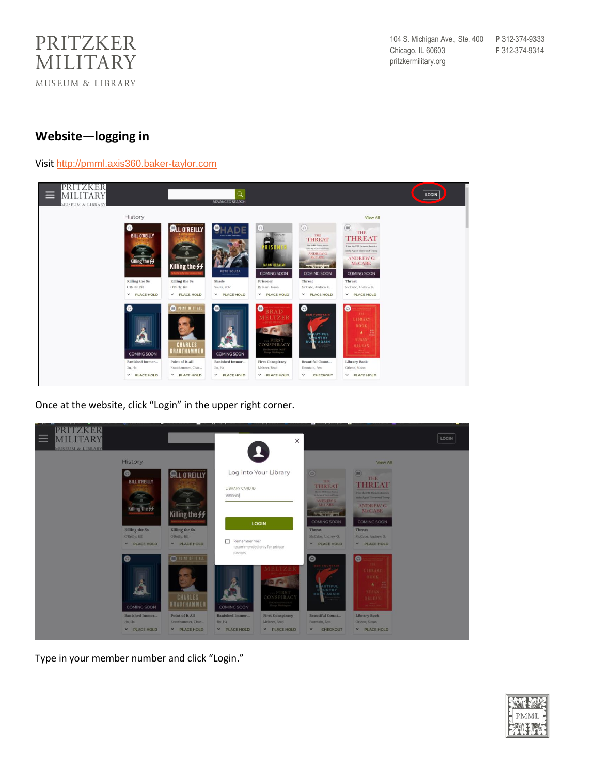

## **Website—logging in**

## Visit [http://pmml.axis360.baker-taylor.com](http://pmml.axis360.baker-taylor.com/)



Once at the website, click "Login" in the upper right corner.



Type in your member number and click "Login."